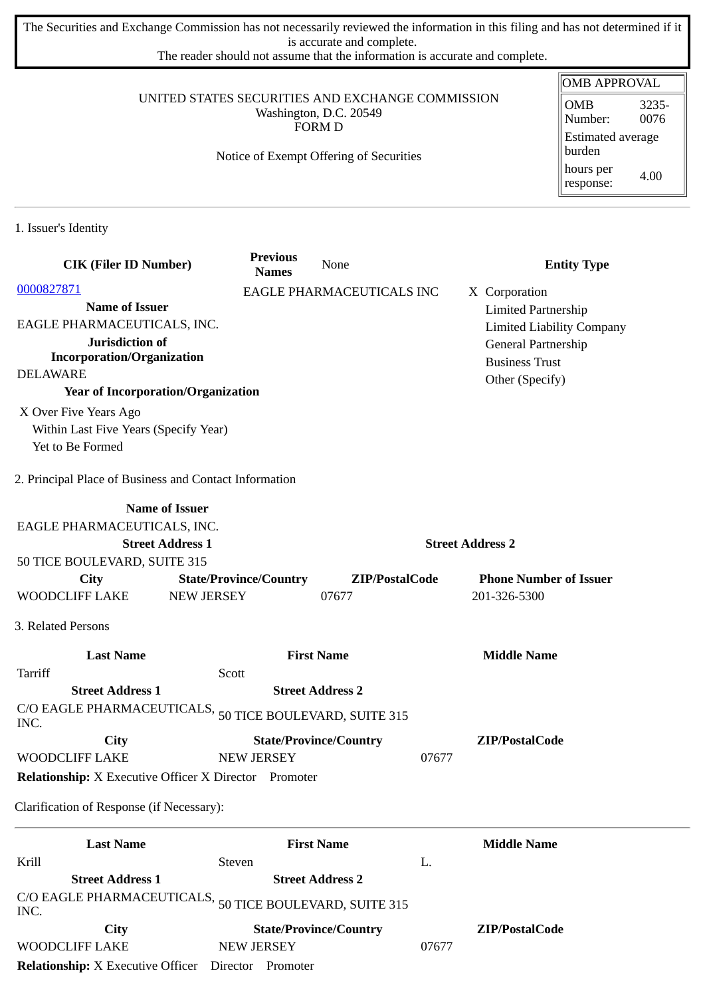The Securities and Exchange Commission has not necessarily reviewed the information in this filing and has not determined if it is accurate and complete.

The reader should not assume that the information is accurate and complete.

## UNITED STATES SECURITIES AND EXCHANGE COMMISSION Washington, D.C. 20549 FORM D

## Notice of Exempt Offering of Securities

| <b>OMB APPROVAL</b>                |               |  |  |
|------------------------------------|---------------|--|--|
| OMB<br>Number:                     | 3235-<br>0076 |  |  |
| <b>Estimated average</b><br>burden |               |  |  |
| hours per<br>response:             | 4.00          |  |  |

1. Issuer's Identity

| <b>CIK (Filer ID Number)</b>                                              | <b>Previous</b><br><b>Names</b> | None                          |                         | <b>Entity Type</b>               |
|---------------------------------------------------------------------------|---------------------------------|-------------------------------|-------------------------|----------------------------------|
| 0000827871                                                                |                                 | EAGLE PHARMACEUTICALS INC     |                         | X Corporation                    |
| <b>Name of Issuer</b>                                                     |                                 |                               |                         | <b>Limited Partnership</b>       |
| EAGLE PHARMACEUTICALS, INC.                                               |                                 |                               |                         | <b>Limited Liability Company</b> |
| Jurisdiction of                                                           |                                 |                               |                         | General Partnership              |
| <b>Incorporation/Organization</b>                                         |                                 |                               |                         | <b>Business Trust</b>            |
| <b>DELAWARE</b>                                                           |                                 |                               |                         | Other (Specify)                  |
| <b>Year of Incorporation/Organization</b>                                 |                                 |                               |                         |                                  |
| X Over Five Years Ago                                                     |                                 |                               |                         |                                  |
| Within Last Five Years (Specify Year)                                     |                                 |                               |                         |                                  |
| Yet to Be Formed                                                          |                                 |                               |                         |                                  |
| 2. Principal Place of Business and Contact Information                    |                                 |                               |                         |                                  |
| <b>Name of Issuer</b>                                                     |                                 |                               |                         |                                  |
| EAGLE PHARMACEUTICALS, INC.                                               |                                 |                               |                         |                                  |
| <b>Street Address 1</b>                                                   |                                 |                               | <b>Street Address 2</b> |                                  |
| 50 TICE BOULEVARD, SUITE 315                                              |                                 |                               |                         |                                  |
| City                                                                      | <b>State/Province/Country</b>   | ZIP/PostalCode                |                         | <b>Phone Number of Issuer</b>    |
| <b>WOODCLIFF LAKE</b><br><b>NEW JERSEY</b>                                |                                 | 07677                         |                         | 201-326-5300                     |
| 3. Related Persons                                                        |                                 |                               |                         |                                  |
| <b>Last Name</b>                                                          |                                 | <b>First Name</b>             |                         | <b>Middle Name</b>               |
| Tarriff                                                                   | Scott                           |                               |                         |                                  |
| <b>Street Address 1</b>                                                   |                                 | <b>Street Address 2</b>       |                         |                                  |
| C/O EAGLE PHARMACEUTICALS, $_{50}$ TICE BOULEVARD, SUITE 315 $\,$<br>INC. |                                 |                               |                         |                                  |
| City                                                                      |                                 | <b>State/Province/Country</b> |                         | ZIP/PostalCode                   |
| WOODCLIFF LAKE                                                            | <b>NEW JERSEY</b>               |                               | 07677                   |                                  |
| <b>Relationship:</b> X Executive Officer X Director Promoter              |                                 |                               |                         |                                  |
| Clarification of Response (if Necessary):                                 |                                 |                               |                         |                                  |
| <b>Last Name</b>                                                          |                                 | <b>First Name</b>             |                         | <b>Middle Name</b>               |
| Krill                                                                     | Steven                          | L.                            |                         |                                  |
| <b>Street Address 1</b>                                                   |                                 | <b>Street Address 2</b>       |                         |                                  |
| C/O EAGLE PHARMACEUTICALS,<br>INC.                                        |                                 | 50 TICE BOULEVARD, SUITE 315  |                         |                                  |
| City                                                                      |                                 | <b>State/Province/Country</b> |                         | ZIP/PostalCode                   |
| WOODCLIFF LAKE                                                            | <b>NEW JERSEY</b>               |                               | 07677                   |                                  |

**Relationship:** X Executive Officer Director Promoter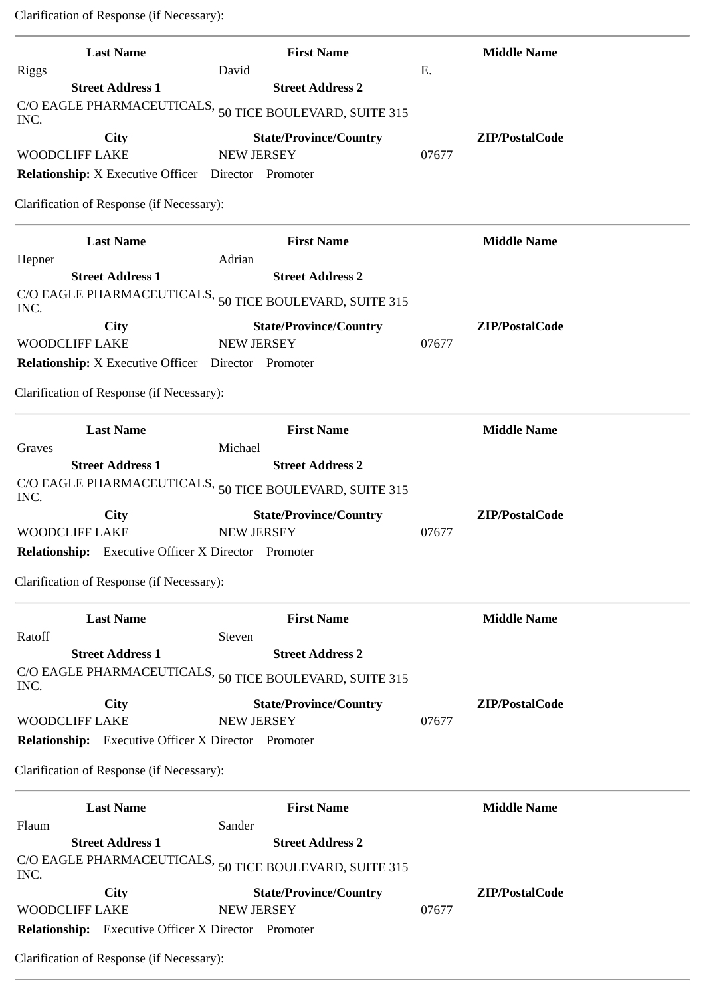Clarification of Response (if Necessary):

| <b>Last Name</b>                                           | <b>First Name</b>                                                 | <b>Middle Name</b>      |
|------------------------------------------------------------|-------------------------------------------------------------------|-------------------------|
| <b>Riggs</b><br><b>Street Address 1</b>                    | David<br><b>Street Address 2</b>                                  | Ε.                      |
| C/O EAGLE PHARMACEUTICALS,<br>INC.                         | 50 TICE BOULEVARD, SUITE 315                                      |                         |
| <b>City</b><br><b>WOODCLIFF LAKE</b>                       | <b>State/Province/Country</b><br><b>NEW JERSEY</b>                | ZIP/PostalCode<br>07677 |
| <b>Relationship:</b> X Executive Officer Director Promoter |                                                                   |                         |
|                                                            |                                                                   |                         |
| Clarification of Response (if Necessary):                  |                                                                   |                         |
| <b>Last Name</b>                                           | <b>First Name</b>                                                 | <b>Middle Name</b>      |
| Hepner                                                     | Adrian                                                            |                         |
| <b>Street Address 1</b>                                    | <b>Street Address 2</b>                                           |                         |
| INC.                                                       | C/O EAGLE PHARMACEUTICALS, $_{50}$ TICE BOULEVARD, SUITE 315 $\,$ |                         |
| City                                                       | <b>State/Province/Country</b>                                     | ZIP/PostalCode          |
| <b>WOODCLIFF LAKE</b>                                      | <b>NEW JERSEY</b>                                                 | 07677                   |
| Relationship: X Executive Officer Director Promoter        |                                                                   |                         |
| Clarification of Response (if Necessary):                  |                                                                   |                         |
| <b>Last Name</b>                                           | <b>First Name</b>                                                 | <b>Middle Name</b>      |
| Graves                                                     | Michael                                                           |                         |
| <b>Street Address 1</b>                                    | <b>Street Address 2</b>                                           |                         |
| INC.                                                       | C/O EAGLE PHARMACEUTICALS, $_{50}$ TICE BOULEVARD, SUITE 315 $\,$ |                         |
| <b>City</b>                                                | <b>State/Province/Country</b>                                     | ZIP/PostalCode          |
| <b>WOODCLIFF LAKE</b>                                      | <b>NEW JERSEY</b>                                                 | 07677                   |
| <b>Relationship:</b> Executive Officer X Director Promoter |                                                                   |                         |
| Clarification of Response (if Necessary):                  |                                                                   |                         |
| <b>Last Name</b>                                           | <b>First Name</b>                                                 | <b>Middle Name</b>      |
| Ratoff                                                     | Steven                                                            |                         |
| <b>Street Address 1</b>                                    | <b>Street Address 2</b>                                           |                         |
| INC.                                                       | C/O EAGLE PHARMACEUTICALS, $_{50}$ TICE BOULEVARD, SUITE 315      |                         |
| <b>City</b>                                                | <b>State/Province/Country</b>                                     | ZIP/PostalCode          |
| <b>WOODCLIFF LAKE</b>                                      | <b>NEW JERSEY</b>                                                 | 07677                   |
| Relationship: Executive Officer X Director Promoter        |                                                                   |                         |
| Clarification of Response (if Necessary):                  |                                                                   |                         |
| <b>Last Name</b>                                           | <b>First Name</b>                                                 | <b>Middle Name</b>      |
| Flaum                                                      | Sander                                                            |                         |
| <b>Street Address 1</b>                                    | <b>Street Address 2</b>                                           |                         |
| INC.                                                       | C/O EAGLE PHARMACEUTICALS, $_{50}$ TICE BOULEVARD, SUITE 315 $\,$ |                         |
| <b>City</b>                                                | <b>State/Province/Country</b>                                     | ZIP/PostalCode          |
| <b>WOODCLIFF LAKE</b>                                      | <b>NEW JERSEY</b>                                                 | 07677                   |
| Relationship: Executive Officer X Director Promoter        |                                                                   |                         |
| Clarification of Response (if Necessary):                  |                                                                   |                         |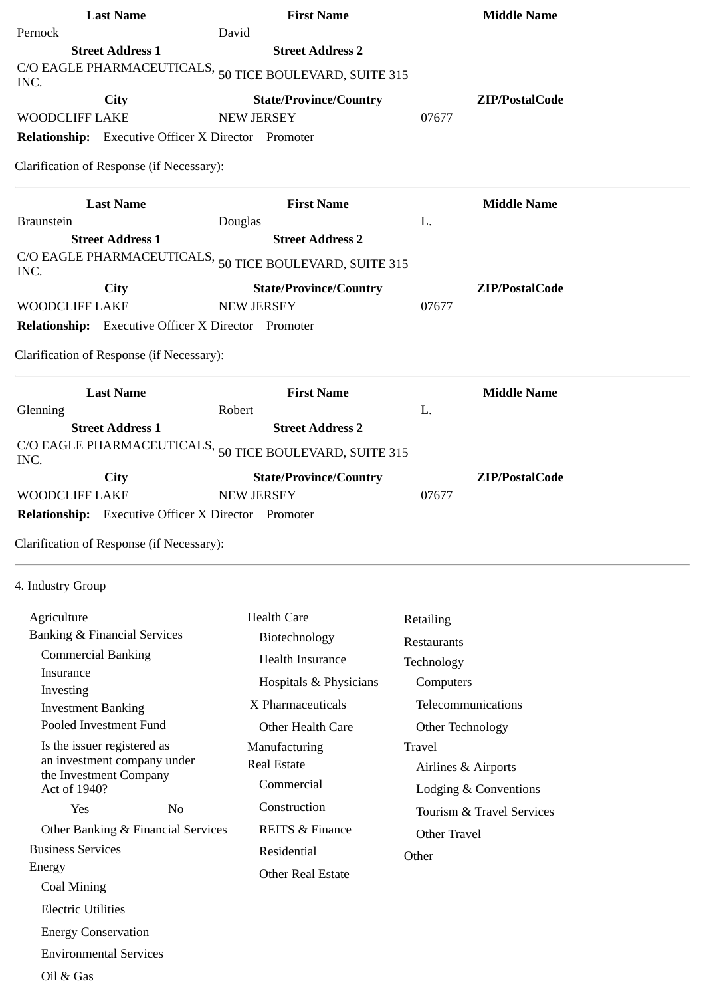| Pernock                                                                                                                        | David                                                                                                                                              |                           |
|--------------------------------------------------------------------------------------------------------------------------------|----------------------------------------------------------------------------------------------------------------------------------------------------|---------------------------|
| <b>Street Address 1</b>                                                                                                        | <b>Street Address 2</b>                                                                                                                            |                           |
| INC.                                                                                                                           | C/O EAGLE PHARMACEUTICALS, $_{50}$ TICE BOULEVARD, SUITE 315 $\,$                                                                                  |                           |
| <b>City</b>                                                                                                                    | <b>State/Province/Country</b>                                                                                                                      | ZIP/PostalCode            |
| <b>WOODCLIFF LAKE</b>                                                                                                          | <b>NEW JERSEY</b>                                                                                                                                  | 07677                     |
| Relationship: Executive Officer X Director Promoter                                                                            |                                                                                                                                                    |                           |
| Clarification of Response (if Necessary):                                                                                      |                                                                                                                                                    |                           |
| <b>Last Name</b>                                                                                                               | <b>First Name</b>                                                                                                                                  | <b>Middle Name</b>        |
| <b>Braunstein</b><br><b>Street Address 1</b>                                                                                   | Douglas<br><b>Street Address 2</b>                                                                                                                 | L.                        |
|                                                                                                                                |                                                                                                                                                    |                           |
| INC.                                                                                                                           | C/O EAGLE PHARMACEUTICALS, $_{50}$ TICE BOULEVARD, SUITE 315                                                                                       |                           |
| <b>City</b>                                                                                                                    | <b>State/Province/Country</b>                                                                                                                      | ZIP/PostalCode            |
| <b>WOODCLIFF LAKE</b>                                                                                                          | <b>NEW JERSEY</b>                                                                                                                                  | 07677                     |
| Relationship: Executive Officer X Director Promoter                                                                            |                                                                                                                                                    |                           |
| Clarification of Response (if Necessary):                                                                                      |                                                                                                                                                    |                           |
| <b>Last Name</b>                                                                                                               | <b>First Name</b>                                                                                                                                  | <b>Middle Name</b>        |
| Glenning                                                                                                                       | Robert                                                                                                                                             | L.                        |
| <b>Street Address 1</b><br>INC.<br><b>City</b><br><b>WOODCLIFF LAKE</b><br>Relationship: Executive Officer X Director Promoter | <b>Street Address 2</b><br>C/O EAGLE PHARMACEUTICALS, $_{50}$ TICE BOULEVARD, SUITE 315 $\,$<br><b>State/Province/Country</b><br><b>NEW JERSEY</b> | ZIP/PostalCode<br>07677   |
| Clarification of Response (if Necessary):                                                                                      |                                                                                                                                                    |                           |
| 4. Industry Group                                                                                                              |                                                                                                                                                    |                           |
| Agriculture                                                                                                                    | <b>Health Care</b>                                                                                                                                 | Retailing                 |
| <b>Banking &amp; Financial Services</b>                                                                                        | Biotechnology                                                                                                                                      | Restaurants               |
| <b>Commercial Banking</b>                                                                                                      | <b>Health Insurance</b>                                                                                                                            | Technology                |
| Insurance                                                                                                                      | Hospitals & Physicians                                                                                                                             | Computers                 |
| Investing                                                                                                                      | X Pharmaceuticals                                                                                                                                  | Telecommunications        |
| <b>Investment Banking</b><br>Pooled Investment Fund                                                                            |                                                                                                                                                    |                           |
|                                                                                                                                | Other Health Care                                                                                                                                  | Other Technology          |
| Is the issuer registered as<br>an investment company under                                                                     | Manufacturing<br><b>Real Estate</b>                                                                                                                | Travel                    |
| the Investment Company                                                                                                         | Commercial                                                                                                                                         | Airlines & Airports       |
| Act of 1940?                                                                                                                   | Construction                                                                                                                                       | Lodging & Conventions     |
| Yes<br>N <sub>o</sub>                                                                                                          |                                                                                                                                                    | Tourism & Travel Services |
| Other Banking & Financial Services                                                                                             | <b>REITS &amp; Finance</b>                                                                                                                         | Other Travel              |
| <b>Business Services</b><br>Energy                                                                                             | Residential                                                                                                                                        | Other                     |
| Coal Mining                                                                                                                    | <b>Other Real Estate</b>                                                                                                                           |                           |
|                                                                                                                                |                                                                                                                                                    |                           |
| <b>Electric Utilities</b>                                                                                                      |                                                                                                                                                    |                           |
| <b>Energy Conservation</b>                                                                                                     |                                                                                                                                                    |                           |
| <b>Environmental Services</b>                                                                                                  |                                                                                                                                                    |                           |
| Oil & Gas                                                                                                                      |                                                                                                                                                    |                           |

**Last Name First Name Middle Name**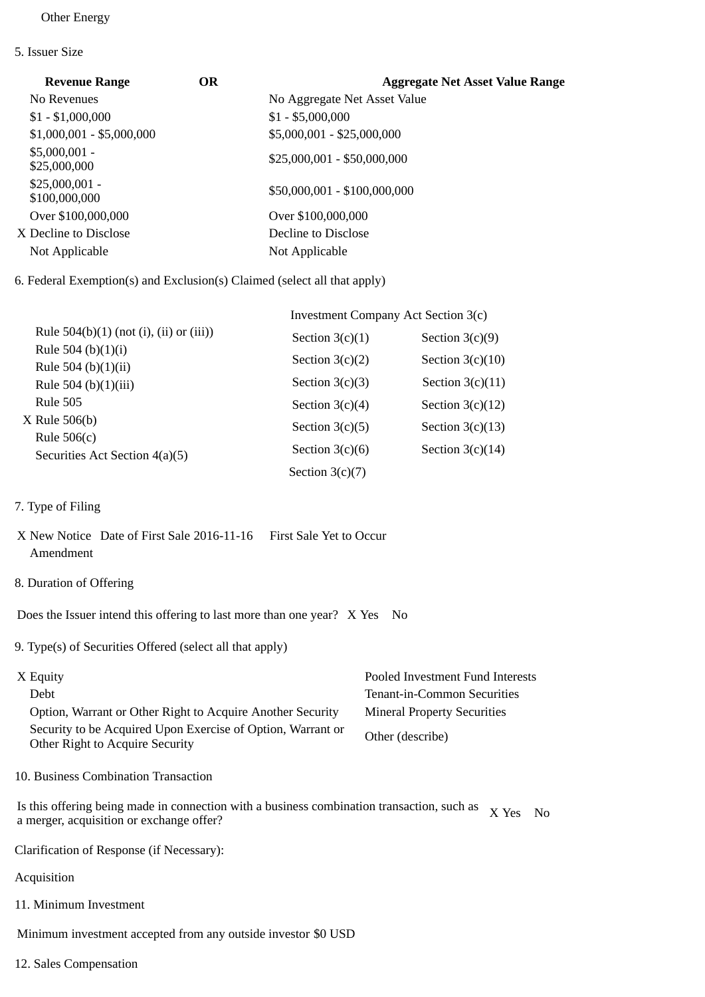## Other Energy

5. Issuer Size

| <b>Revenue Range</b>             | <b>OR</b> | <b>Aggregate Net Asset Value Range</b> |
|----------------------------------|-----------|----------------------------------------|
| No Revenues                      |           | No Aggregate Net Asset Value           |
| $$1 - $1,000,000$                |           | $$1 - $5,000,000$                      |
| $$1,000,001 - $5,000,000$        |           | \$5,000,001 - \$25,000,000             |
| $$5,000,001 -$<br>\$25,000,000   |           | $$25,000,001 - $50,000,000$            |
| $$25,000,001 -$<br>\$100,000,000 |           | \$50,000,001 - \$100,000,000           |
| Over \$100,000,000               |           | Over \$100,000,000                     |
| X Decline to Disclose            |           | Decline to Disclose                    |
| Not Applicable                   |           | Not Applicable                         |
|                                  |           |                                        |

6. Federal Exemption(s) and Exclusion(s) Claimed (select all that apply)

|                                              | Investment Company Act Section 3(c) |                    |  |
|----------------------------------------------|-------------------------------------|--------------------|--|
| Rule $504(b)(1)$ (not (i), (ii) or (iii))    | Section $3(c)(1)$                   | Section $3(c)(9)$  |  |
| Rule 504 (b) $(1)(i)$<br>Rule 504 (b)(1)(ii) | Section $3(c)(2)$                   | Section $3(c)(10)$ |  |
| Rule 504 (b)(1)(iii)                         | Section $3(c)(3)$                   | Section $3(c)(11)$ |  |
| <b>Rule 505</b>                              | Section $3(c)(4)$                   | Section $3(c)(12)$ |  |
| $X$ Rule 506(b)<br>Rule $506(c)$             | Section $3(c)(5)$                   | Section $3(c)(13)$ |  |
| Securities Act Section 4(a)(5)               | Section $3(c)(6)$                   | Section $3(c)(14)$ |  |
|                                              | Section $3(c)(7)$                   |                    |  |

- 7. Type of Filing
- X New Notice Date of First Sale 2016-11-16 First Sale Yet to Occur Amendment
- 8. Duration of Offering

Does the Issuer intend this offering to last more than one year? X Yes No

9. Type(s) of Securities Offered (select all that apply)

| X Equity                                                                                       | Pooled Investment Fund Interests   |
|------------------------------------------------------------------------------------------------|------------------------------------|
| Debt                                                                                           | Tenant-in-Common Securities        |
| Option, Warrant or Other Right to Acquire Another Security                                     | <b>Mineral Property Securities</b> |
| Security to be Acquired Upon Exercise of Option, Warrant or<br>Other Right to Acquire Security | Other (describe)                   |

10. Business Combination Transaction

Is this offering being made in connection with a business combination transaction, such as  $X$  Yes No a merger, acquisition or exchange offer?

Clarification of Response (if Necessary):

- Acquisition
- 11. Minimum Investment

Minimum investment accepted from any outside investor \$0 USD

12. Sales Compensation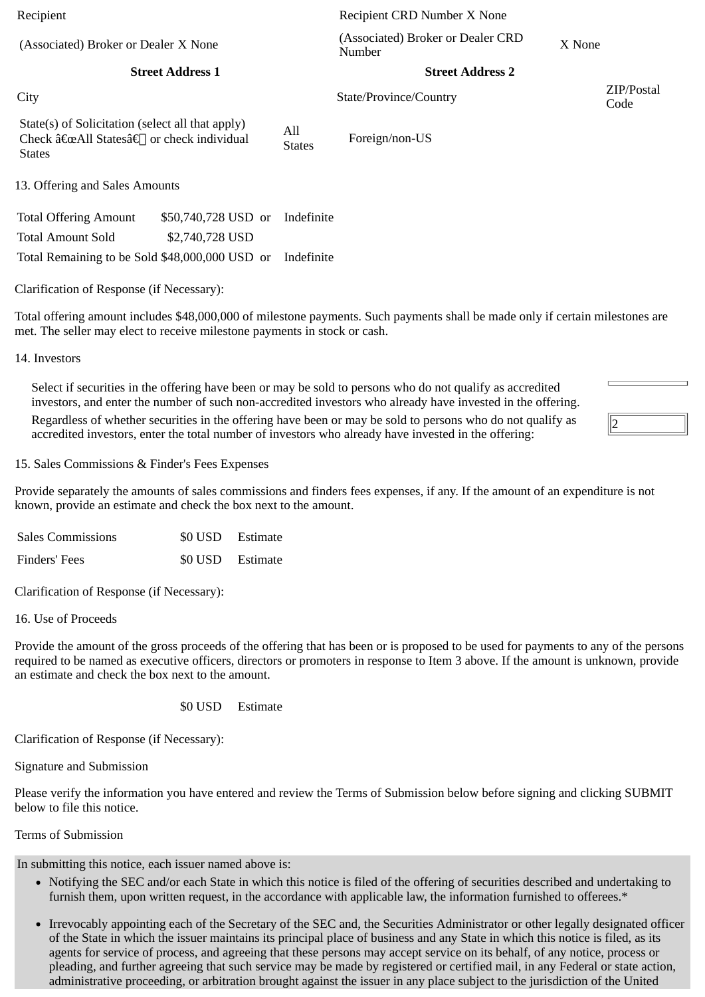(Associated) Broker or Dealer X None (Associated) CRSSOCIA

**Street Address 1 Street Address 2**

State(s) of Solicitation (select all that apply) Check "All States†or check individual **States** 

All

States Foreign/non-US

13. Offering and Sales Amounts

Total Offering Amount \$50,740,728 USD or Indefinite Total Amount Sold \$2,740,728 USD Total Remaining to be Sold \$48,000,000 USD or Indefinite

Clarification of Response (if Necessary):

Total offering amount includes \$48,000,000 of milestone payments. Such payments shall be made only if certain milestones are met. The seller may elect to receive milestone payments in stock or cash.

14. Investors

Select if securities in the offering have been or may be sold to persons who do not qualify as accredited investors, and enter the number of such non-accredited investors who already have invested in the offering. Regardless of whether securities in the offering have been or may be sold to persons who do not qualify as accredited investors, enter the total number of investors who already have invested in the offering:

15. Sales Commissions & Finder's Fees Expenses

Provide separately the amounts of sales commissions and finders fees expenses, if any. If the amount of an expenditure is not known, provide an estimate and check the box next to the amount.

| <b>Sales Commissions</b> | \$0 USD Estimate |
|--------------------------|------------------|
| Finders' Fees            | \$0 USD Estimate |

Clarification of Response (if Necessary):

16. Use of Proceeds

Provide the amount of the gross proceeds of the offering that has been or is proposed to be used for payments to any of the persons required to be named as executive officers, directors or promoters in response to Item 3 above. If the amount is unknown, provide an estimate and check the box next to the amount.

\$0 USD Estimate

Clarification of Response (if Necessary):

Signature and Submission

Please verify the information you have entered and review the Terms of Submission below before signing and clicking SUBMIT below to file this notice.

Terms of Submission

In submitting this notice, each issuer named above is:

- Notifying the SEC and/or each State in which this notice is filed of the offering of securities described and undertaking to furnish them, upon written request, in the accordance with applicable law, the information furnished to offerees.\*
- Irrevocably appointing each of the Secretary of the SEC and, the Securities Administrator or other legally designated officer of the State in which the issuer maintains its principal place of business and any State in which this notice is filed, as its agents for service of process, and agreeing that these persons may accept service on its behalf, of any notice, process or pleading, and further agreeing that such service may be made by registered or certified mail, in any Federal or state action, administrative proceeding, or arbitration brought against the issuer in any place subject to the jurisdiction of the United

Recipient Recipient CRD Number X None (Associated) Broker or Dealer CRD  $X$  None

City State/Province/Country ZIP/Postal Code

2